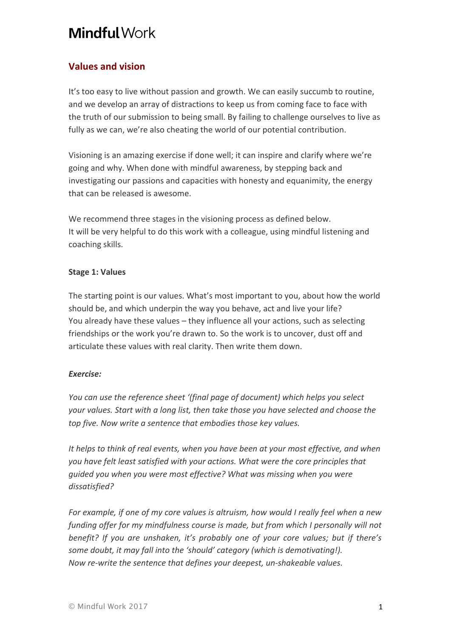# **Mindful Work**

# **Values and vision**

It's too easy to live without passion and growth. We can easily succumb to routine, and we develop an array of distractions to keep us from coming face to face with the truth of our submission to being small. By failing to challenge ourselves to live as fully as we can, we're also cheating the world of our potential contribution.

Visioning is an amazing exercise if done well; it can inspire and clarify where we're going and why. When done with mindful awareness, by stepping back and investigating our passions and capacities with honesty and equanimity, the energy that can be released is awesome.

We recommend three stages in the visioning process as defined below. It will be very helpful to do this work with a colleague, using mindful listening and coaching skills.

## **Stage 1: Values**

The starting point is our values. What's most important to you, about how the world should be, and which underpin the way you behave, act and live your life? You already have these values - they influence all your actions, such as selecting friendships or the work you're drawn to. So the work is to uncover, dust off and articulate these values with real clarity. Then write them down.

# *Exercise:*

*You* can use the reference sheet '(final page of document) which helps you select *your* values. Start with a long list, then take those you have selected and choose the *top five. Now write a sentence that embodies those key values.* 

*It* helps to think of real events, when you have been at your most effective, and when *you have felt least satisfied with your actions. What were the core principles that guided you when you were most effective? What was missing when you were dissatisfied?* 

*For example, if one of my core values is altruism, how would I really feel when a new funding offer for my mindfulness course is made, but from which I personally will not benefit? If you are unshaken, it's probably one of your core values; but if there's some doubt, it may fall into the 'should' category (which is demotivating!). Now re-write the sentence that defines your deepest, un-shakeable values.*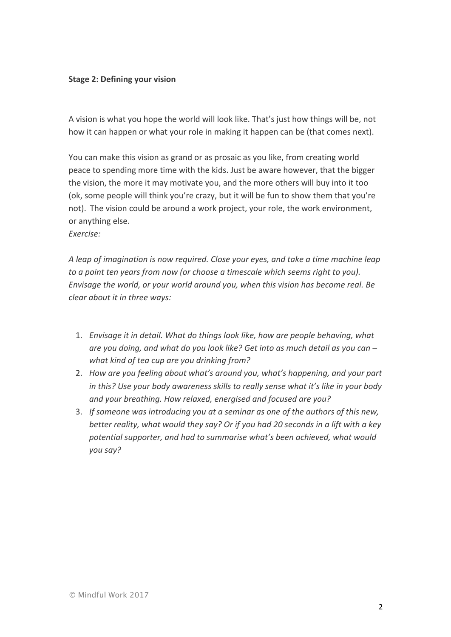#### **Stage 2: Defining your vision**

A vision is what you hope the world will look like. That's just how things will be, not how it can happen or what your role in making it happen can be (that comes next).

You can make this vision as grand or as prosaic as you like, from creating world peace to spending more time with the kids. Just be aware however, that the bigger the vision, the more it may motivate you, and the more others will buy into it too (ok, some people will think you're crazy, but it will be fun to show them that you're not). The vision could be around a work project, your role, the work environment, or anything else.

*Exercise:*

*A* leap of imagination is now required. Close your eyes, and take a time machine leap *to a point ten years from now (or choose a timescale which seems right to you). Envisage the world, or your world around you, when this vision has become real. Be clear about it in three ways:* 

- 1. *Envisage it in detail. What do things look like, how are people behaving, what are you doing, and what do you look like? Get into as much detail as you can – what kind of tea cup are you drinking from?*
- 2. *How are you feeling about what's around you, what's happening, and your part in this? Use your body awareness skills to really sense what it's like in your body and your breathing. How relaxed, energised and focused are you?*
- 3. If someone was introducing you at a seminar as one of the authors of this new, *better reality, what would they say? Or if you had 20 seconds in a lift with a key potential supporter, and had to summarise what's been achieved, what would you say?*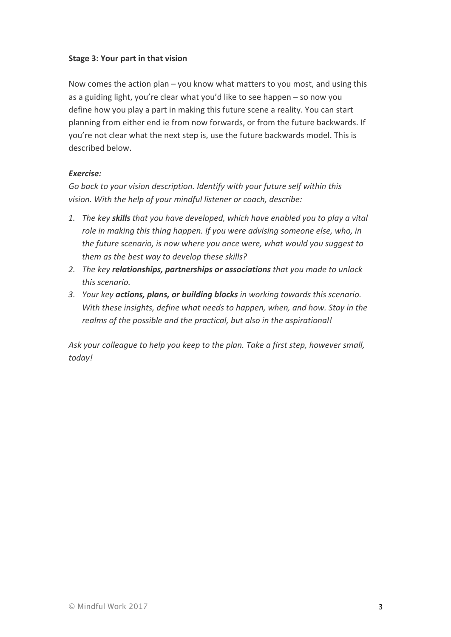### **Stage 3: Your part in that vision**

Now comes the action plan – you know what matters to you most, and using this as a guiding light, you're clear what you'd like to see happen – so now you define how you play a part in making this future scene a reality. You can start planning from either end ie from now forwards, or from the future backwards. If you're not clear what the next step is, use the future backwards model. This is described below.

#### *Exercise:*

Go back to your vision description. Identify with your future self within this vision. With the help of your mindful listener or coach, describe:

- 1. The key skills that you have developed, which have enabled you to play a vital *role in making this thing happen. If you were advising someone else, who, in the future scenario, is now where you once were, what would you suggest to* them as the best way to develop these skills?
- 2. The key **relationships, partnerships or associations** that you made to unlock *this scenario.*
- 3. *Your key actions, plans, or building blocks in working towards this scenario. With* these insights, define what needs to happen, when, and how. Stay in the *realms* of the possible and the practical, but also in the aspirational!

Ask your colleague to help you keep to the plan. Take a first step, however small, *today!*